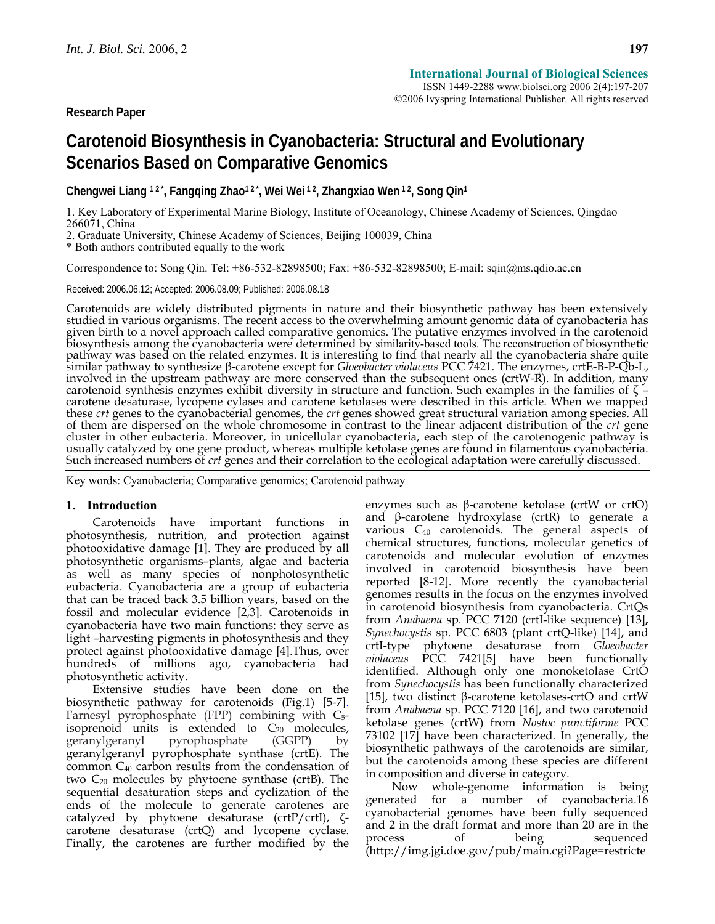# **Carotenoid Biosynthesis in Cyanobacteria: Structural and Evolutionary Scenarios Based on Comparative Genomics**

Chengwei Liang <sup>12</sup><sup>\*</sup>, Fangqing Zhao<sup>12</sup><sup>\*</sup>, Wei Wei<sup>12</sup>, Zhangxiao Wen<sup>12</sup>, Song Qin<sup>1</sup>

1. Key Laboratory of Experimental Marine Biology, Institute of Oceanology, Chinese Academy of Sciences, Qingdao 266071, China

2. Graduate University, Chinese Academy of Sciences, Beijing 100039, China

\* Both authors contributed equally to the work

Correspondence to: Song Qin. Tel: +86-532-82898500; Fax: +86-532-82898500; E-mail: sqin@ms.qdio.ac.cn

Received: 2006.06.12; Accepted: 2006.08.09; Published: 2006.08.18

Carotenoids are widely distributed pigments in nature and their biosynthetic pathway has been extensively<br>studied in various organisms. The recent access to the overwhelming amount genomic data of cyanobacteria has<br>given b biosynthesis among the cyanobacteria were determined by similarity-based tools. The reconstruction of biosynthetic<br>pathway was based on the related enzymes. It is interesting to find that nearly all the cyanobacteria share similar pathway to synthesize  $\beta$ -carotene except for *Gloeobacter violaceus* PCC 7421. The enzymes, crtE-B-P-Qb-L, involved in the upstream pathway are more conserved than the subsequent ones (crtW-R). In addition, many carotene desaturase, lycopene cylases and carotene ketolases were described in this article. When we mapped these *crt* genes to the cyanobacterial genomes, the *crt* genes showed great structural variation among species. of them are dispersed on the whole chromosome in contrast to the linear adjacent distribution of the crt gene cluster in other eubacteria. Moreover, in unicellular cyanobacteria, each step of the carotenogenic pathway is usually catalyzed by one gene product, whereas multiple ketolase genes are found in filamentous cyanobacteria. Such increased numbers of *crt* genes and their correlation to the ecological adaptation were carefully discussed.

Key words: Cyanobacteria; Comparative genomics; Carotenoid pathway

# **1. Introduction**

Carotenoids have important functions in photosynthesis, nutrition, and protection against photooxidative damage [1]. They are produced by all photosynthetic organisms–plants, algae and bacteria as well as many species of nonphotosynthetic eubacteria. Cyanobacteria are a group of eubacteria that can be traced back 3.5 billion years, based on the fossil and molecular evidence [2,3]. Carotenoids in cyanobacteria have two main functions: they serve as light –harvesting pigments in photosynthesis and they protect against photooxidative damage [4].Thus, over hundreds of millions ago, cyanobacteria had photosynthetic activity.

Extensive studies have been done on the biosynthetic pathway for carotenoids (Fig.1) [5-7]. Farnesyl pyrophosphate (FPP) combining with C<sub>5</sub>isoprenoid units is extended to  $C_{20}$  molecules, geranylgeranyl pyrophosphate (GGPP) by geranylgeranyl pyrophosphate synthase (crtE). The common  $C_{40}$  carbon results from the condensation of two  $C_{20}$  molecules by phytoene synthase (crtB). The sequential desaturation steps and cyclization of the ends of the molecule to generate carotenes are catalyzed by phytoene desaturase (crtP/crtI), ζcarotene desaturase (crtQ) and lycopene cyclase. Finally, the carotenes are further modified by the enzymes such as β-carotene ketolase (crtW or crtO) and β-carotene hydroxylase (crtR) to generate a various C40 carotenoids. The general aspects of chemical structures, functions, molecular genetics of carotenoids and molecular evolution of enzymes involved in carotenoid biosynthesis have been reported [8-12]. More recently the cyanobacterial genomes results in the focus on the enzymes involved in carotenoid biosynthesis from cyanobacteria. CrtQs from *Anabaena* sp. PCC 7120 (crtI-like sequence) [13]**,** *Synechocystis* sp. PCC 6803 (plant crtQ-like) [14], and crtI-type phytoene desaturase from *Gloeobacter violaceus* PCC 7421[5] have been functionally identified. Although only one monoketolase CrtO from *Synechocystis* has been functionally characterized [15], two distinct β-carotene ketolases-crtO and crtW from *Anabaena* sp. PCC 7120 [16], and two carotenoid ketolase genes (crtW) from *Nostoc punctiforme* PCC 73102 [17] have been characterized. In generally, the biosynthetic pathways of the carotenoids are similar, but the carotenoids among these species are different in composition and diverse in category.

Now whole-genome information is being generated for a number of cyanobacteria.16 cyanobacterial genomes have been fully sequenced and 2 in the draft format and more than 20 are in the process of being sequenced (http://img.jgi.doe.gov/pub/main.cgi?Page=restricte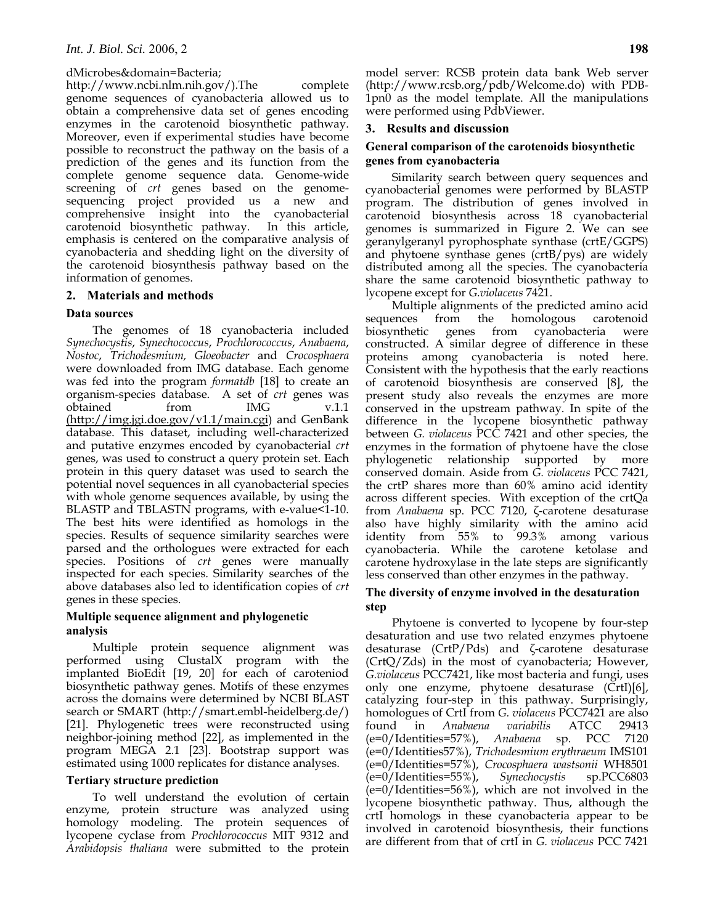# dMicrobes&domain=Bacteria;

http://www.ncbi.nlm.nih.gov/).The complete genome sequences of cyanobacteria allowed us to obtain a comprehensive data set of genes encoding enzymes in the carotenoid biosynthetic pathway. Moreover, even if experimental studies have become possible to reconstruct the pathway on the basis of a prediction of the genes and its function from the complete genome sequence data. Genome-wide screening of *crt* genes based on the genomesequencing project provided us a new and comprehensive insight into the cyanobacterial carotenoid biosynthetic pathway. In this article, emphasis is centered on the comparative analysis of cyanobacteria and shedding light on the diversity of the carotenoid biosynthesis pathway based on the information of genomes.

# **2. Materials and methods**

# **Data sources**

The genomes of 18 cyanobacteria included *Synechocystis*, *Synechococcus*, *Prochlorococcus*, *Anabaena*, *Nostoc*, *Trichodesmium, Gloeobacter* and *Crocosphaera*  were downloaded from IMG database. Each genome was fed into the program *formatdb* [18] to create an organism-species database. A set of *crt* genes was obtained from IMG v.1.1 (http://img.jgi.doe.gov/v1.1/main.cgi) and GenBank database. This dataset, including well-characterized and putative enzymes encoded by cyanobacterial *crt* genes, was used to construct a query protein set. Each protein in this query dataset was used to search the potential novel sequences in all cyanobacterial species with whole genome sequences available, by using the BLASTP and TBLASTN programs, with e-value<1-10. The best hits were identified as homologs in the species. Results of sequence similarity searches were parsed and the orthologues were extracted for each species. Positions of *crt* genes were manually inspected for each species. Similarity searches of the above databases also led to identification copies of *crt* genes in these species.

# **Multiple sequence alignment and phylogenetic analysis**

Multiple protein sequence alignment was performed using ClustalX program with the implanted BioEdit [19, 20] for each of caroteniod biosynthetic pathway genes. Motifs of these enzymes across the domains were determined by NCBI BLAST search or SMART (http://smart.embl-heidelberg.de/) [21]. Phylogenetic trees were reconstructed using neighbor-joining method [22], as implemented in the program MEGA 2.1 [23]. Bootstrap support was estimated using 1000 replicates for distance analyses.

#### **Tertiary structure prediction**

To well understand the evolution of certain enzyme, protein structure was analyzed using homology modeling. The protein sequences of lycopene cyclase from *Prochlorococcus* MIT 9312 and *Arabidopsis thaliana* were submitted to the protein model server: RCSB protein data bank Web server (http://www.rcsb.org/pdb/Welcome.do) with PDB-1pn0 as the model template. All the manipulations were performed using PdbViewer.

#### **3. Results and discussion**

# **General comparison of the carotenoids biosynthetic genes from cyanobacteria**

Similarity search between query sequences and cyanobacterial genomes were performed by BLASTP program. The distribution of genes involved in carotenoid biosynthesis across 18 cyanobacterial genomes is summarized in Figure 2. We can see geranylgeranyl pyrophosphate synthase (crtE/GGPS) and phytoene synthase genes (crtB/pys) are widely distributed among all the species. The cyanobacteria share the same carotenoid biosynthetic pathway to lycopene except for *G.violaceus* 7421.

Multiple alignments of the predicted amino acid sequences from the homologous carotenoid biosynthetic genes from cyanobacteria were constructed. A similar degree of difference in these proteins among cyanobacteria is noted here. Consistent with the hypothesis that the early reactions of carotenoid biosynthesis are conserved [8], the present study also reveals the enzymes are more conserved in the upstream pathway. In spite of the difference in the lycopene biosynthetic pathway between *G. violaceus* PCC 7421 and other species, the enzymes in the formation of phytoene have the close phylogenetic relationship supported by more conserved domain. Aside from *G. violaceus* PCC 7421, the crtP shares more than 60% amino acid identity across different species. With exception of the crtQa from *Anabaena* sp. PCC 7120, ζ-carotene desaturase also have highly similarity with the amino acid identity from 55% to 99.3% among various cyanobacteria. While the carotene ketolase and carotene hydroxylase in the late steps are significantly less conserved than other enzymes in the pathway.

# **The diversity of enzyme involved in the desaturation step**

Phytoene is converted to lycopene by four-step desaturation and use two related enzymes phytoene desaturase (CrtP/Pds) and ζ-carotene desaturase (CrtQ/Zds) in the most of cyanobacteria; However, *G.violaceus* PCC7421, like most bacteria and fungi, uses only one enzyme, phytoene desaturase (CrtI)[6], catalyzing four-step in this pathway. Surprisingly, homologues of CrtI from *G. violaceus* PCC7421 are also found in *Anabaena variabilis* ATCC 29413 (e=0/Identities=57%), *Anabaena* sp. PCC 7120 (e=0/Identities57%), *Trichodesmium erythraeum* IMS101 (e=0/Identities=57%), *Crocosphaera wastsonii* WH8501 (e=0/Identities=55%), *Synechocystis* sp.PCC6803 (e=0/Identities=56%), which are not involved in the lycopene biosynthetic pathway. Thus, although the crtI homologs in these cyanobacteria appear to be involved in carotenoid biosynthesis, their functions are different from that of crtI in *G. violaceus* PCC 7421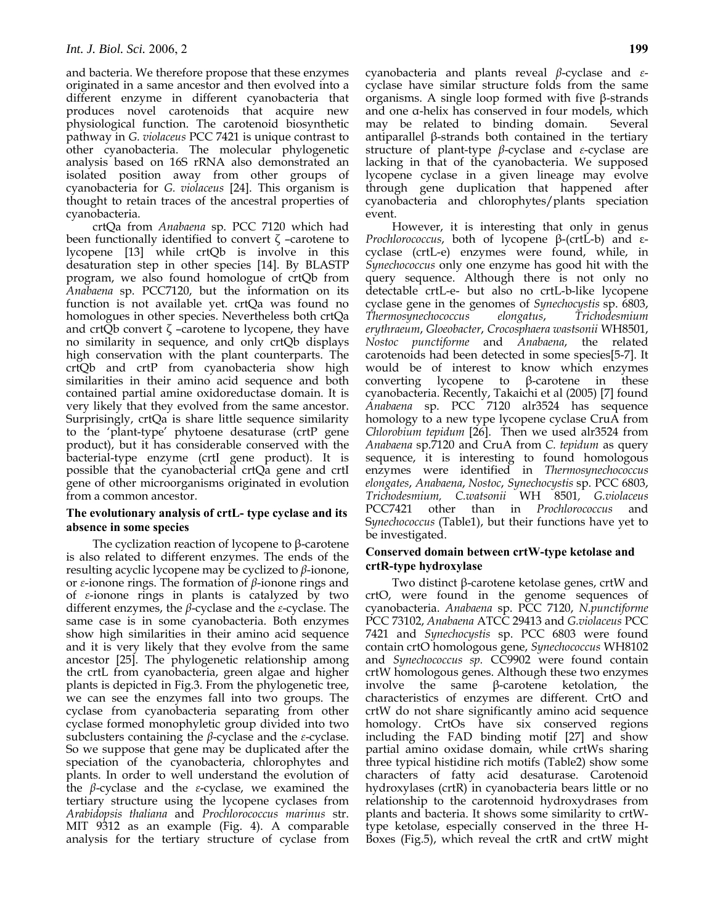and bacteria. We therefore propose that these enzymes originated in a same ancestor and then evolved into a different enzyme in different cyanobacteria that produces novel carotenoids that acquire new physiological function. The carotenoid biosynthetic pathway in *G. violaceus* PCC 7421 is unique contrast to other cyanobacteria. The molecular phylogenetic analysis based on 16S rRNA also demonstrated an isolated position away from other groups of cyanobacteria for *G. violaceus* [24]. This organism is thought to retain traces of the ancestral properties of cyanobacteria.

crtQa from *Anabaena* sp. PCC 7120 which had been functionally identified to convert  $\zeta$  –carotene to lycopene [13] while crtQb is involve in this desaturation step in other species [14]. By BLASTP program, we also found homologue of crtQb from *Anabaena* sp. PCC7120, but the information on its function is not available yet. crtQa was found no homologues in other species. Nevertheless both crtQa and crtQb convert  $\zeta$  –carotene to lycopene, they have no similarity in sequence, and only crtQb displays high conservation with the plant counterparts. The crtQb and crtP from cyanobacteria show high similarities in their amino acid sequence and both contained partial amine oxidoreductase domain. It is very likely that they evolved from the same ancestor. Surprisingly, crtQa is share little sequence similarity to the 'plant-type' phytoene desaturase (crtP gene product), but it has considerable conserved with the bacterial-type enzyme (crtI gene product). It is possible that the cyanobacterial crtQa gene and crtI gene of other microorganisms originated in evolution from a common ancestor.

# **The evolutionary analysis of crtL- type cyclase and its absence in some species**

The cyclization reaction of lycopene to β-carotene is also related to different enzymes. The ends of the resulting acyclic lycopene may be cyclized to *β*-ionone, or *ε*-ionone rings. The formation of *β*-ionone rings and of *ε*-ionone rings in plants is catalyzed by two different enzymes, the *β*-cyclase and the *ε*-cyclase. The same case is in some cyanobacteria. Both enzymes show high similarities in their amino acid sequence and it is very likely that they evolve from the same ancestor [25]. The phylogenetic relationship among the crtL from cyanobacteria, green algae and higher plants is depicted in Fig.3. From the phylogenetic tree, we can see the enzymes fall into two groups. The cyclase from cyanobacteria separating from other cyclase formed monophyletic group divided into two subclusters containing the *β*-cyclase and the *ε*-cyclase. So we suppose that gene may be duplicated after the speciation of the cyanobacteria, chlorophytes and plants. In order to well understand the evolution of the *β*-cyclase and the *ε*-cyclase, we examined the tertiary structure using the lycopene cyclases from *Arabidopsis thaliana* and *Prochlorococcus marinus* str. MIT 9312 as an example (Fig. 4). A comparable analysis for the tertiary structure of cyclase from cyanobacteria and plants reveal *β*-cyclase and *ε*cyclase have similar structure folds from the same organisms. A single loop formed with five β-strands and one α-helix has conserved in four models, which may be related to binding domain. Several antiparallel β-strands both contained in the tertiary structure of plant-type *β*-cyclase and *ε*-cyclase are lacking in that of the cyanobacteria. We supposed lycopene cyclase in a given lineage may evolve through gene duplication that happened after cyanobacteria and chlorophytes/plants speciation event.

However, it is interesting that only in genus *Prochlorococcus*, both of lycopene β-(crtL-b) and εcyclase (crtL-e) enzymes were found, while, in *Synechococcus* only one enzyme has good hit with the query sequence. Although there is not only no detectable crtL-e- but also no crtL-b-like lycopene cyclase gene in the genomes of *Synechocystis* sp. 6803, *Thermosynechococcus elongatus*, *Trichodesmium erythraeum*, *Gloeobacter*, *Crocosphaera wastsonii* WH8501, *Nostoc punctiforme* and *Anabaena*, the related carotenoids had been detected in some species[5-7]. It would be of interest to know which enzymes converting lycopene to β-carotene in these cyanobacteria. Recently, Takaichi et al (2005) [7] found *Anabaena* sp. PCC 7120 alr3524 has sequence homology to a new type lycopene cyclase CruA from *Chlorobium tepidum* [26]. Then we used alr3524 from *Anabaena* sp.7120 and CruA from *C. tepidum* as query sequence, it is interesting to found homologous enzymes were identified in *Thermosynechococcus elongates*, *Anabaena*, *Nostoc*, *Synechocystis* sp. PCC 6803, *Trichodesmium, C.watsonii* WH 8501*, G.violaceus*  PCC7421 other than in *Prochlorococcus* and S*ynechococcus* (Table1), but their functions have yet to be investigated.

# **Conserved domain between crtW-type ketolase and crtR-type hydroxylase**

Two distinct β-carotene ketolase genes, crtW and crtO, were found in the genome sequences of cyanobacteria. *Anabaena* sp. PCC 7120, *N.punctiforme* PCC 73102, *Anabaena* ATCC 29413 and *G.violaceus* PCC 7421 and *Synechocystis* sp. PCC 6803 were found contain crtO homologous gene, *Synechococcus* WH8102 and *Synechococcus sp.* CC9902 were found contain crtW homologous genes. Although these two enzymes involve the same β-carotene ketolation, the characteristics of enzymes are different. CrtO and crtW do not share significantly amino acid sequence homology. CrtOs have six conserved regions including the FAD binding motif [27] and show partial amino oxidase domain, while crtWs sharing three typical histidine rich motifs (Table2) show some characters of fatty acid desaturase. Carotenoid hydroxylases (crtR) in cyanobacteria bears little or no relationship to the carotennoid hydroxydrases from plants and bacteria. It shows some similarity to crtWtype ketolase, especially conserved in the three H-Boxes (Fig.5), which reveal the crtR and crtW might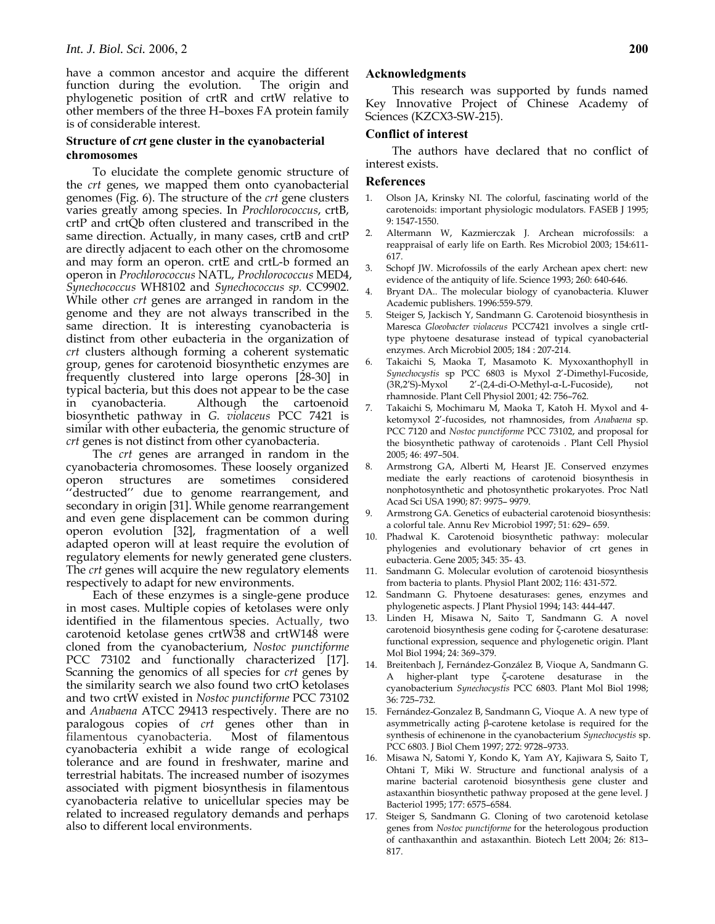have a common ancestor and acquire the different function during the evolution. The origin and phylogenetic position of crtR and crtW relative to other members of the three H–boxes FA protein family is of considerable interest.

#### **Structure of** *crt* **gene cluster in the cyanobacterial chromosomes**

To elucidate the complete genomic structure of the *crt* genes, we mapped them onto cyanobacterial genomes (Fig. 6). The structure of the *crt* gene clusters varies greatly among species. In *Prochlorococcus*, crtB, crtP and crtQb often clustered and transcribed in the same direction. Actually, in many cases, crtB and crtP are directly adjacent to each other on the chromosome and may form an operon. crtE and crtL-b formed an operon in *Prochlorococcus* NATL, *Prochlorococcus* MED4, *Synechococcus* WH8102 and *Synechococcus sp.* CC9902. While other *crt* genes are arranged in random in the genome and they are not always transcribed in the same direction. It is interesting cyanobacteria is distinct from other eubacteria in the organization of *crt* clusters although forming a coherent systematic group, genes for carotenoid biosynthetic enzymes are frequently clustered into large operons [28-30] in typical bacteria, but this does not appear to be the case in cyanobacteria*.* Although the cartoenoid biosynthetic pathway in *G. violaceus* PCC 7421 is similar with other eubacteria, the genomic structure of *crt* genes is not distinct from other cyanobacteria.

The *crt* genes are arranged in random in the cyanobacteria chromosomes. These loosely organized operon structures are sometimes considered ''destructed'' due to genome rearrangement, and secondary in origin [31]. While genome rearrangement and even gene displacement can be common during operon evolution [32], fragmentation of a well adapted operon will at least require the evolution of regulatory elements for newly generated gene clusters. The *crt* genes will acquire the new regulatory elements respectively to adapt for new environments.

Each of these enzymes is a single-gene produce in most cases. Multiple copies of ketolases were only identified in the filamentous species. Actually, two carotenoid ketolase genes crtW38 and crtW148 were cloned from the cyanobacterium, *Nostoc punctiforme*  PCC 73102 and functionally characterized [17]. Scanning the genomics of all species for *crt* genes by the similarity search we also found two crtO ketolases and two crtW existed in *Nostoc punctiforme* PCC 73102 and *Anabaena* ATCC 29413 respectively. There are no paralogous copies of *crt* genes other than in filamentous cyanobacteria. Most of filamentous cyanobacteria exhibit a wide range of ecological tolerance and are found in freshwater, marine and terrestrial habitats. The increased number of isozymes associated with pigment biosynthesis in filamentous cyanobacteria relative to unicellular species may be related to increased regulatory demands and perhaps also to different local environments.

#### **Acknowledgments**

This research was supported by funds named Key Innovative Project of Chinese Academy of Sciences (KZCX3-SW-215).

#### **Conflict of interest**

The authors have declared that no conflict of interest exists.

#### **References**

- 1. Olson JA, Krinsky NI. The colorful, fascinating world of the carotenoids: important physiologic modulators. FASEB J 1995; 9: 1547-1550.
- 2. Altermann W, Kazmierczak J. Archean microfossils: a reappraisal of early life on Earth. Res Microbiol 2003; 154:611- 617.
- 3. Schopf JW. Microfossils of the early Archean apex chert: new evidence of the antiquity of life. Science 1993; 260: 640-646.
- 4. Bryant DA.. The molecular biology of cyanobacteria. Kluwer Academic publishers. 1996:559-579.
- 5. Steiger S, Jackisch Y, Sandmann G. Carotenoid biosynthesis in Maresca *Gloeobacter violaceus* PCC7421 involves a single crtItype phytoene desaturase instead of typical cyanobacterial enzymes. Arch Microbiol 2005; 184 : 207-214.
- 6. Takaichi S, Maoka T, Masamoto K. Myxoxanthophyll in *Synechocystis* sp PCC 6803 is Myxol 2'-Dimethyl-Fucoside, (3R,2'S)-Myxol 2'-(2,4-di-O-Methyl-α-L-Fucoside), not rhamnoside. Plant Cell Physiol 2001; 42: 756–762.
- 7. Takaichi S, Mochimaru M, Maoka T, Katoh H. Myxol and 4 ketomyxol 2'-fucosides, not rhamnosides, from *Anabaena* sp. PCC 7120 and *Nostoc punctiforme* PCC 73102, and proposal for the biosynthetic pathway of carotenoids . Plant Cell Physiol 2005; 46: 497–504.
- 8. Armstrong GA, Alberti M, Hearst JE. Conserved enzymes mediate the early reactions of carotenoid biosynthesis in nonphotosynthetic and photosynthetic prokaryotes. Proc Natl Acad Sci USA 1990; 87: 9975– 9979.
- 9. Armstrong GA. Genetics of eubacterial carotenoid biosynthesis: a colorful tale. Annu Rev Microbiol 1997; 51: 629– 659.
- 10. Phadwal K. Carotenoid biosynthetic pathway: molecular phylogenies and evolutionary behavior of crt genes in eubacteria. Gene 2005; 345: 35- 43.
- 11. Sandmann G. Molecular evolution of carotenoid biosynthesis from bacteria to plants. Physiol Plant 2002; 116: 431-572.
- 12. Sandmann G. Phytoene desaturases: genes, enzymes and phylogenetic aspects. J Plant Physiol 1994; 143: 444-447.
- 13. Linden H, Misawa N, Saito T, Sandmann G. A novel carotenoid biosynthesis gene coding for  $\zeta$ -carotene desaturase: functional expression, sequence and phylogenetic origin. Plant Mol Biol 1994; 24: 369–379.
- 14. Breitenbach J, Fernández-González B, Vioque A, Sandmann G. A higher-plant type ζ-carotene desaturase in cyanobacterium *Synechocystis* PCC 6803. Plant Mol Biol 1998; 36: 725–732.
- 15. Fernández-Gonzalez B, Sandmann G, Vioque A. A new type of asymmetrically acting β-carotene ketolase is required for the synthesis of echinenone in the cyanobacterium *Synechocystis* sp. PCC 6803. J Biol Chem 1997; 272: 9728–9733.
- 16. Misawa N, Satomi Y, Kondo K, Yam AY, Kajiwara S, Saito T, Ohtani T, Miki W. Structure and functional analysis of a marine bacterial carotenoid biosynthesis gene cluster and astaxanthin biosynthetic pathway proposed at the gene level. J Bacteriol 1995; 177: 6575–6584.
- 17. Steiger S, Sandmann G. Cloning of two carotenoid ketolase genes from *Nostoc punctiforme* for the heterologous production of canthaxanthin and astaxanthin. Biotech Lett 2004; 26: 813– 817.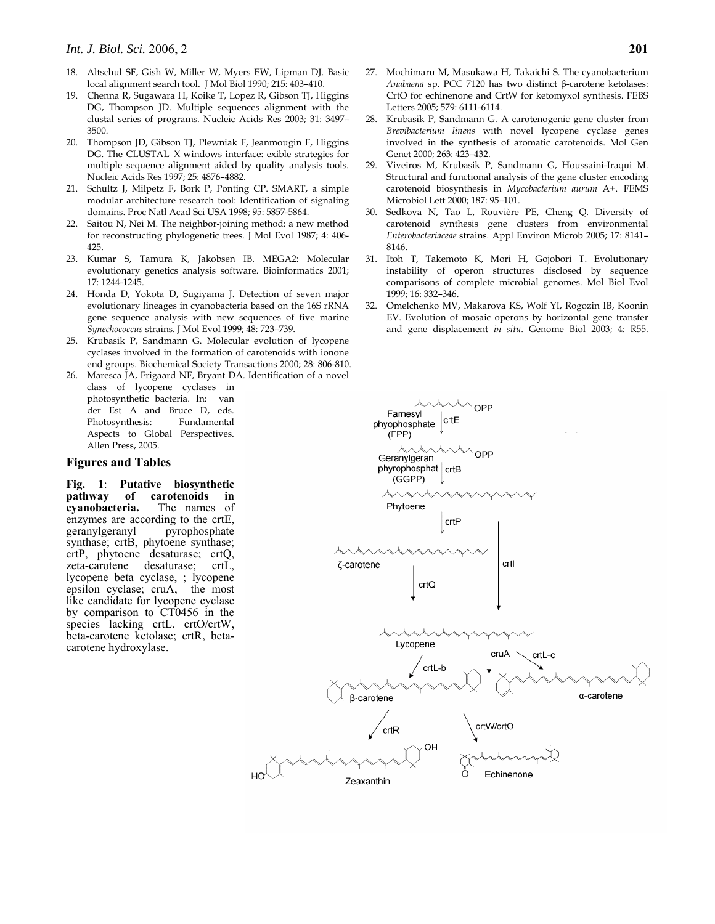- 18. Altschul SF, Gish W, Miller W, Myers EW, Lipman DJ. Basic local alignment search tool. J Mol Biol 1990; 215: 403–410.
- 19. Chenna R, Sugawara H, Koike T, Lopez R, Gibson TJ, Higgins DG, Thompson JD. Multiple sequences alignment with the clustal series of programs. Nucleic Acids Res 2003; 31: 3497– 3500.
- 20. Thompson JD, Gibson TJ, Plewniak F, Jeanmougin F, Higgins DG. The CLUSTAL\_X windows interface: exible strategies for multiple sequence alignment aided by quality analysis tools. Nucleic Acids Res 1997; 25: 4876–4882.
- 21. Schultz J, Milpetz F, Bork P, Ponting CP. SMART, a simple modular architecture research tool: Identification of signaling domains. Proc Natl Acad Sci USA 1998; 95: 5857-5864.
- 22. Saitou N, Nei M. The neighbor-joining method: a new method for reconstructing phylogenetic trees. J Mol Evol 1987; 4: 406- 425.
- 23. Kumar S, Tamura K, Jakobsen IB. MEGA2: Molecular evolutionary genetics analysis software. Bioinformatics 2001; 17: 1244-1245.
- 24. Honda D, Yokota D, Sugiyama J. Detection of seven major evolutionary lineages in cyanobacteria based on the 16S rRNA gene sequence analysis with new sequences of five marine *Synechococcus* strains. J Mol Evol 1999; 48: 723–739.
- 25. Krubasik P, Sandmann G. Molecular evolution of lycopene cyclases involved in the formation of carotenoids with ionone end groups. Biochemical Society Transactions 2000; 28: 806-810.

 $H<sub>O</sub>$ 

26. Maresca JA, Frigaard NF, Bryant DA. Identification of a novel class of lycopene cyclases in photosynthetic bacteria. In: van der Est A and Bruce D, eds. Photosynthesis: Fundamental Aspects to Global Perspectives. Allen Press, 2005.

#### **Figures and Tables**

**Fig. 1**: **Putative biosynthetic pathway of carotenoids in cyanobacteria.** The names of enzymes are according to the crtE, geranylgeranyl pyrophosphate synthase; crtB, phytoene synthase; crtP, phytoene desaturase; crtQ, zeta-carotene desaturase; crtL, lycopene beta cyclase, ; lycopene epsilon cyclase; cruA, the most like candidate for lycopene cyclase by comparison to CT0456 in the species lacking crtL. crtO/crtW, beta-carotene ketolase; crtR, betacarotene hydroxylase.

- 27. Mochimaru M, Masukawa H, Takaichi S. The cyanobacterium *Anabaena* sp. PCC 7120 has two distinct β-carotene ketolases: CrtO for echinenone and CrtW for ketomyxol synthesis. FEBS Letters 2005; 579: 6111-6114.
- 28. Krubasik P, Sandmann G. A carotenogenic gene cluster from *Brevibacterium linens* with novel lycopene cyclase genes involved in the synthesis of aromatic carotenoids. Mol Gen Genet 2000; 263: 423–432.
- 29. Viveiros M, Krubasik P, Sandmann G, Houssaini-Iraqui M. Structural and functional analysis of the gene cluster encoding carotenoid biosynthesis in *Mycobacterium aurum* A+. FEMS Microbiol Lett 2000; 187: 95–101.
- 30. Sedkova N, Tao L, Rouvière PE, Cheng Q. Diversity of carotenoid synthesis gene clusters from environmental *Enterobacteriaceae* strains. Appl Environ Microb 2005; 17: 8141– 8146.
- 31. Itoh T, Takemoto K, Mori H, Gojobori T. Evolutionary instability of operon structures disclosed by sequence comparisons of complete microbial genomes. Mol Biol Evol 1999; 16: 332–346.
- 32. Omelchenko MV, Makarova KS, Wolf YI, Rogozin IB, Koonin EV. Evolution of mosaic operons by horizontal gene transfer and gene displacement *in situ.* Genome Biol 2003; 4: R55.

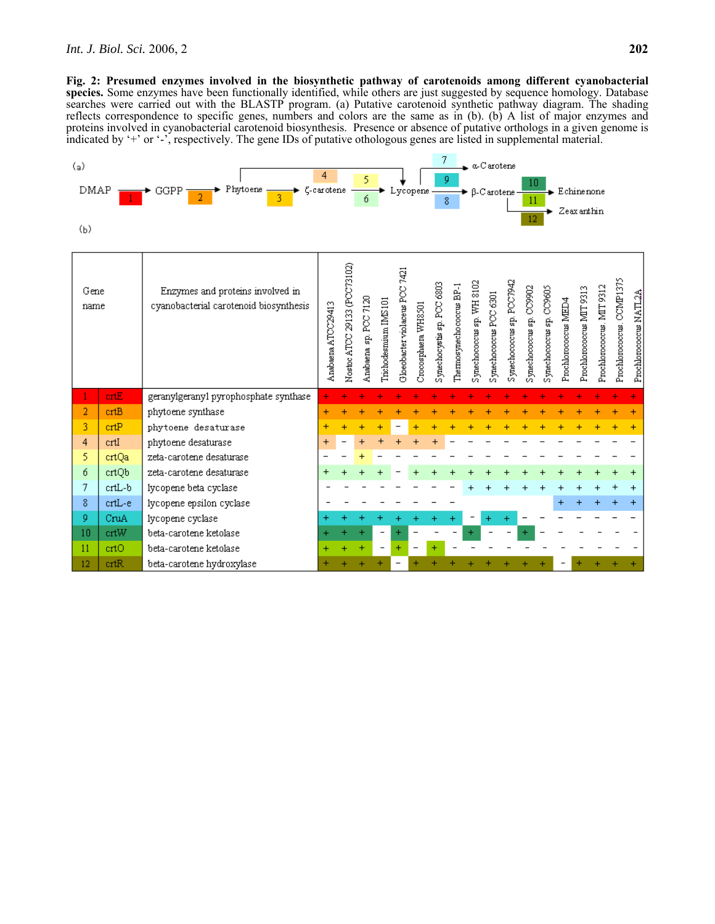**Fig. 2: Presumed enzymes involved in the biosynthetic pathway of carotenoids among different cyanobacterial species.** Some enzymes have been functionally identified, while others are just suggested by sequence homology. Database searches were carried out with the BLASTP program. (a) Putative carotenoid synthetic pathway diagram. The shading reflects correspondence to specific genes, numbers and colors are the same as in (b). (b) A list of major enzymes and proteins involved in cyanobacterial carotenoid biosynthesis. Presence or absence of putative orthologs in a given genome is indicated by '+' or '-', respectively. The gene IDs of putative othologous genes are listed in supplemental material.

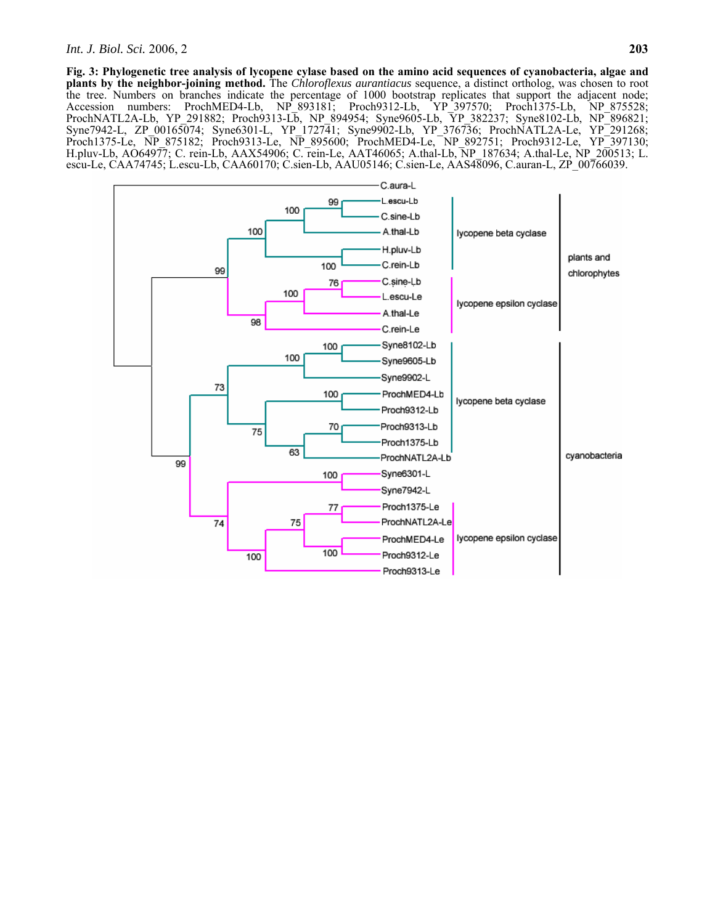#### *Int. J. Biol. Sci.* 2006, 2 **203**

**Fig. 3: Phylogenetic tree analysis of lycopene cylase based on the amino acid sequences of cyanobacteria, algae and plants by the neighbor-joining method.** The *Chloroflexus aurantiacus* sequence, a distinct ortholog, was chosen to root the tree. Numbers on branches indicate the percentage of 1000 bootstrap replicates that support the adjacent node; Accession numbers: ProchMED4-Lb, NP\_893181; Proch9312-Lb, YP\_397570; Proch1375-Lb, NP\_875528; ProchNATL2A-Lb, YP\_291882; Proch9313-Lb, NP\_894954; Syne9605-Lb, YP\_382237; Syne8102-Lb, NP\_896821; Syne7942-L, ZP\_00165074; Syne6301-L, YP\_172741; Syne9902-Lb, YP\_376736; ProchNATL2A-Le, YP\_291268; Proch1375-Le, NP\_875182; Proch9313-Le, NP\_895600; ProchMED4-Le, NP\_892751; Proch9312-Le, YP\_397130; H.pluv-Lb, AO64977; C. rein-Lb, AAX54906; C. rein-Le, AAT46065; A.thal-Lb, NP\_187634; A.thal-Le, NP\_200513; L. escu-Le, CAA74745; L.escu-Lb, CAA60170; C.sien-Lb, AAU05146; C.sien-Le, AAS48096, C.auran-L, ZP\_00766039.

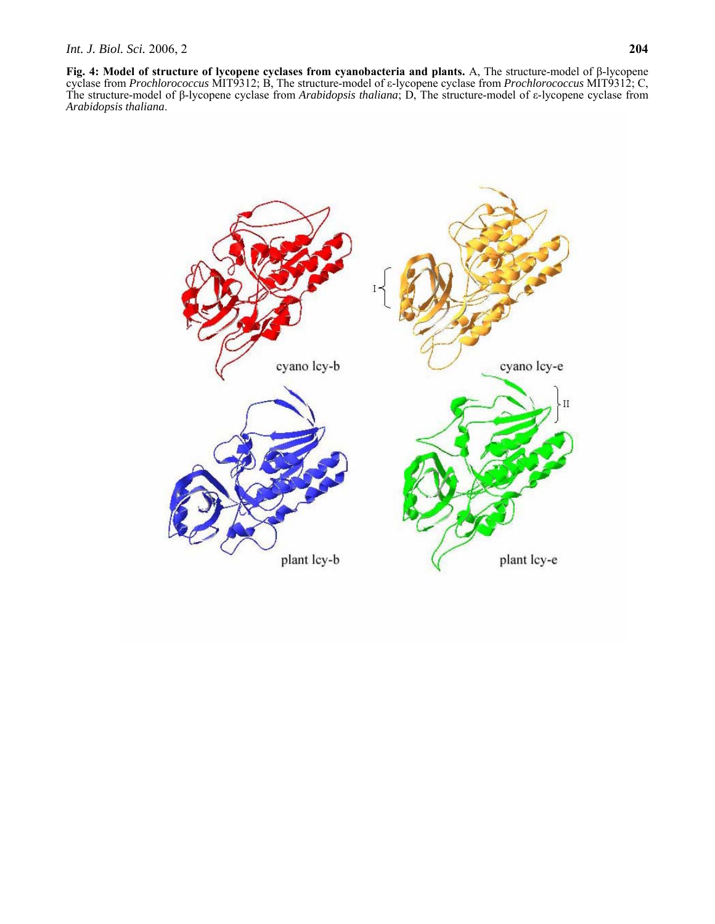**Fig. 4: Model of structure of lycopene cyclases from cyanobacteria and plants.** A, The structure-model of β-lycopene cyclase from *Prochlorococcus* MIT9312; B, The structure-model of ε-lycopene cyclase from *Prochlorococcus* MIT9312; C, The structure-model of β-lycopene cyclase from *Arabidopsis thaliana*; D, The structure-model of ε-lycopene cyclase from *Arabidopsis thaliana*.

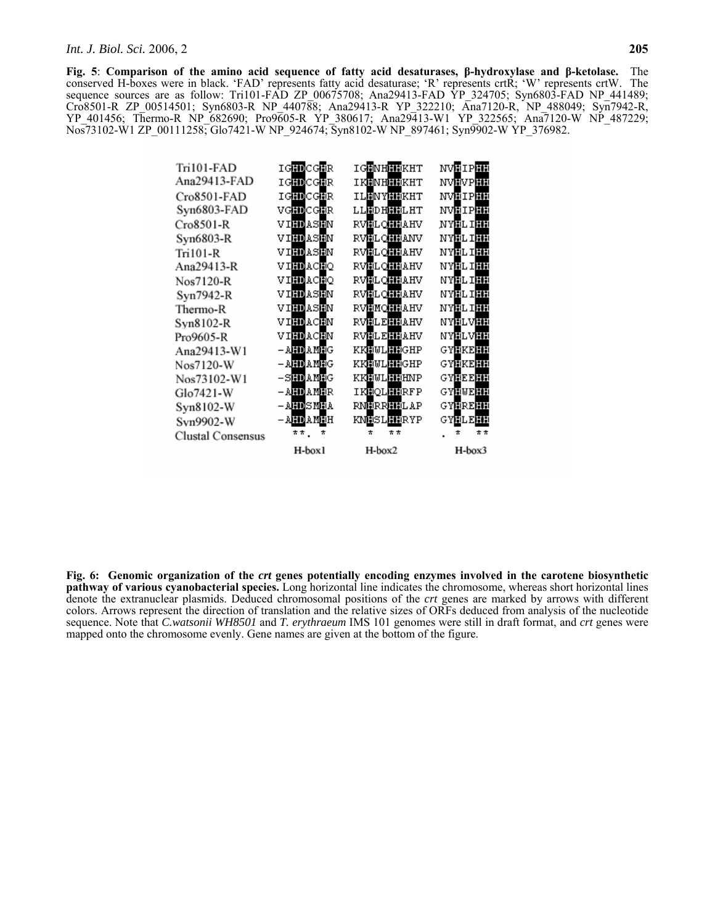**Fig. 5**: **Comparison of the amino acid sequence of fatty acid desaturases, β-hydroxylase and β-ketolase.** The conserved H-boxes were in black. 'FAD' represents fatty acid desaturase; 'R' represents crtR; 'W' represents crtW. The sequence sources are as follow: Tri101-FAD ZP\_00675708; Ana29413-FAD YP\_324705; Syn6803-FAD NP\_441489; Cro8501-R ZP\_00514501; Syn6803-R NP\_440788; Ana29413-R YP\_322210; Ana7120-R, NP\_488049; Syn7942-R, YP\_401456; Thermo-R NP\_682690; Pro9605-R YP\_380617; Ana29413-W1 YP\_322565; Ana7120-W NP\_487229; Nos73102-W1 ZP\_00111258; Glo7421-W NP\_924674; Syn8102-W NP\_897461; Syn9902-W YP\_376982.

| Tri101-FAD        | IGHDCGHR                 | IGENHHEKHT                       | NVEIPHE         |
|-------------------|--------------------------|----------------------------------|-----------------|
| Ana29413-FAD      | IGHDCGHR                 | IK <b>E</b> NH <del>EH</del> KHT | NVEVPETE        |
| Cro8501-FAD       | IGHDCGHR                 | ILENYHHKHT                       | NVDIPER         |
| Syn6803-FAD       | VGEDICGER                | LLEDHHLHT                        | NVDIPEG         |
| Cro8501-R         | VIHDASHN                 | RVELOHEAHV                       | NYEL IEE        |
| Syn6803-R         | VIHDASHN                 | RVELO <b>HE</b> ANV              | NYQLIOO         |
| Tri101-R          | VIHDASHN                 | RVELOHEAHV                       | NYQLIGG         |
| Ana29413-R        | VIHDACHO                 | RVELQHEAHV                       | NYELIEH         |
| Nos7120-R         | VIHDACHO                 | RVELOHEAHV                       | NYEL IFE        |
| Syn7942-R         | VIHDASHN                 | RVELQHEAHV                       | NYEL IEE        |
| Thermo-R          | VIHDASHN                 | RVEMOHEAHV                       | NYEL IEE        |
| Syn8102-R         | VIEDACEN                 | <b>RVELEHHAHV</b>                | NYHLVHH         |
| Pro9605-R         | VIEDACEN                 | RVELEHEAHV                       | NYHLVHH         |
| Ana29413-W1       | -AHDAMHG                 | KKEWLEHGHP                       | GYDKERD         |
| Nos7120-W         | -AHDAMHG                 | KKEWL <b>HH</b> GHP              | GYHKEHH         |
| Nos73102-W1       | -S <b>ED</b> AMEG        | KKHULHHMP                        | GYMEEEM         |
| Glo7421-W         | -AHDAMER                 | IKHOLHHRFP                       | GYHUEHH         |
| Syn8102-W         | -AHDSMHA                 | RNERREELAP                       | GYMRENT         |
| Syn9902-W         | – A <mark>HD</mark> AMHH | KNHSLHHRYP                       | GYELEHE         |
| Clustal Consensus | **. *                    | $\star$ $\star$<br>÷             | $\star$ $\star$ |
|                   | H-box1                   | H-box2                           | H-box3          |
|                   |                          |                                  |                 |

**Fig. 6: Genomic organization of the** *crt* **genes potentially encoding enzymes involved in the carotene biosynthetic pathway of various cyanobacterial species.** Long horizontal line indicates the chromosome, whereas short horizontal lines denote the extranuclear plasmids. Deduced chromosomal positions of the *crt* genes are marked by arrows with different colors. Arrows represent the direction of translation and the relative sizes of ORFs deduced from analysis of the nucleotide sequence. Note that *C.watsonii WH8501* and *T. erythraeum* IMS 101 genomes were still in draft format, and *crt* genes were mapped onto the chromosome evenly. Gene names are given at the bottom of the figure.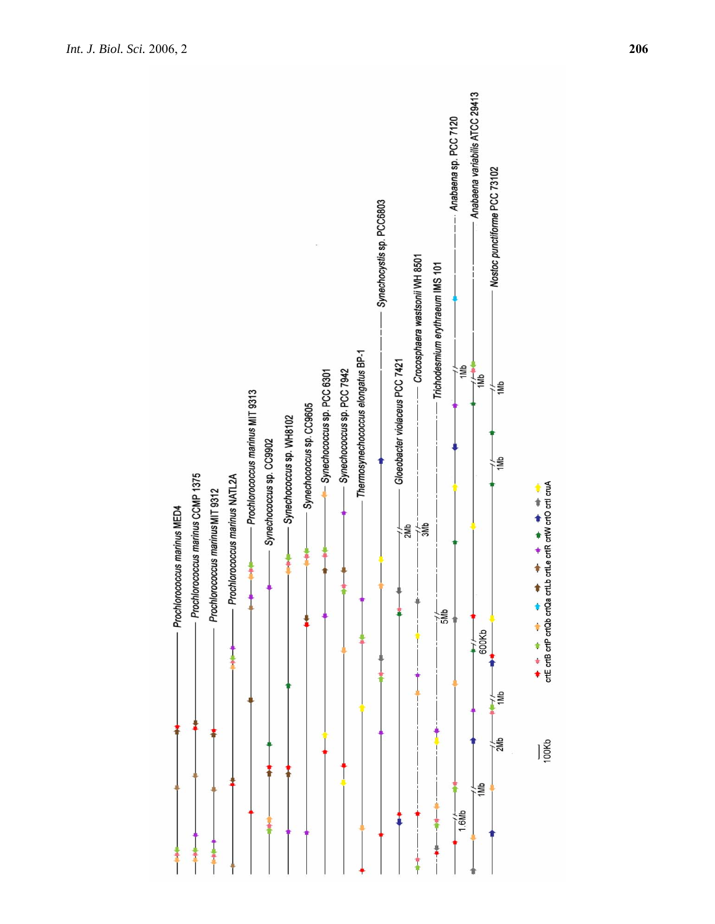